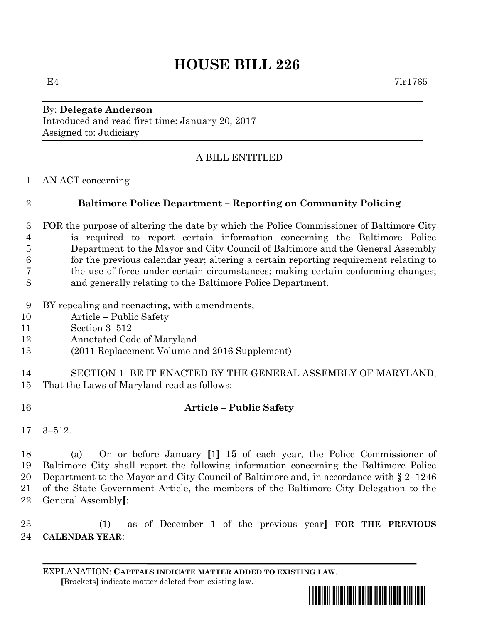## **HOUSE BILL 226**

By: **Delegate Anderson** Introduced and read first time: January 20, 2017 Assigned to: Judiciary

## A BILL ENTITLED

AN ACT concerning

## **Baltimore Police Department – Reporting on Community Policing**

 FOR the purpose of altering the date by which the Police Commissioner of Baltimore City is required to report certain information concerning the Baltimore Police Department to the Mayor and City Council of Baltimore and the General Assembly for the previous calendar year; altering a certain reporting requirement relating to the use of force under certain circumstances; making certain conforming changes; and generally relating to the Baltimore Police Department.

- BY repealing and reenacting, with amendments,
- Article Public Safety
- Section 3–512
- Annotated Code of Maryland
- (2011 Replacement Volume and 2016 Supplement)

 SECTION 1. BE IT ENACTED BY THE GENERAL ASSEMBLY OF MARYLAND, That the Laws of Maryland read as follows:

- **Article – Public Safety**
- 3–512.

 (a) On or before January **[**1**] 15** of each year, the Police Commissioner of Baltimore City shall report the following information concerning the Baltimore Police Department to the Mayor and City Council of Baltimore and, in accordance with § 2–1246 of the State Government Article, the members of the Baltimore City Delegation to the General Assembly**[**:

 (1) as of December 1 of the previous year**] FOR THE PREVIOUS CALENDAR YEAR**:

EXPLANATION: **CAPITALS INDICATE MATTER ADDED TO EXISTING LAW**.  **[**Brackets**]** indicate matter deleted from existing law.